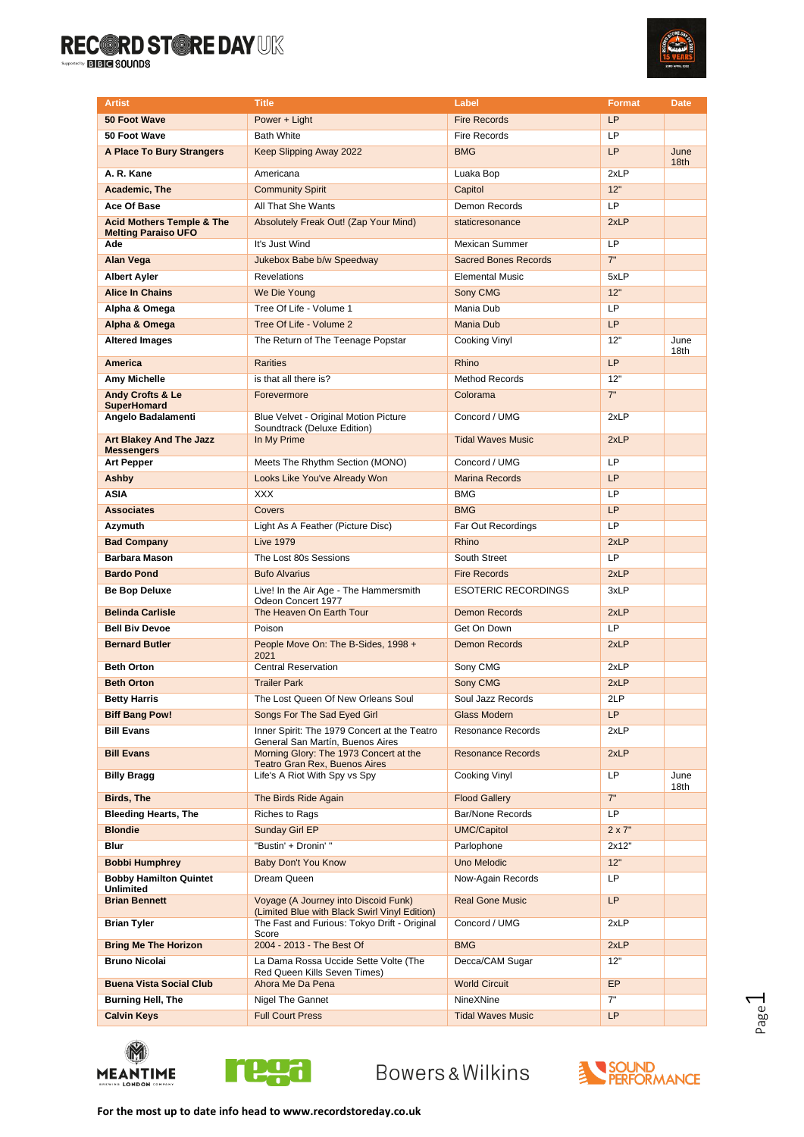

| <b>Artist</b>                                                      | <b>Title</b>                                                                          | Label                       | <b>Format</b> | <b>Date</b>              |
|--------------------------------------------------------------------|---------------------------------------------------------------------------------------|-----------------------------|---------------|--------------------------|
| 50 Foot Wave                                                       | Power + Light                                                                         | <b>Fire Records</b>         | LP            |                          |
| 50 Foot Wave                                                       | <b>Bath White</b>                                                                     | <b>Fire Records</b>         | LP            |                          |
| A Place To Bury Strangers                                          | Keep Slipping Away 2022                                                               | <b>BMG</b>                  | <b>LP</b>     | June<br>18 <sub>th</sub> |
| A. R. Kane                                                         | Americana                                                                             | Luaka Bop                   | 2xLP          |                          |
| <b>Academic. The</b>                                               | <b>Community Spirit</b>                                                               | Capitol                     | 12"           |                          |
| Ace Of Base                                                        | All That She Wants                                                                    | Demon Records               | LP.           |                          |
| <b>Acid Mothers Temple &amp; The</b><br><b>Melting Paraiso UFO</b> | Absolutely Freak Out! (Zap Your Mind)                                                 | staticresonance             | 2xLP          |                          |
| Ade                                                                | It's Just Wind                                                                        | Mexican Summer              | LP            |                          |
| <b>Alan Vega</b>                                                   | Jukebox Babe b/w Speedway                                                             | <b>Sacred Bones Records</b> | 7"            |                          |
| <b>Albert Ayler</b>                                                | <b>Revelations</b>                                                                    | <b>Elemental Music</b>      | 5xLP          |                          |
| <b>Alice In Chains</b>                                             | We Die Young                                                                          | Sony CMG                    | 12"           |                          |
| Alpha & Omega                                                      | Tree Of Life - Volume 1                                                               | Mania Dub                   | <b>LP</b>     |                          |
| Alpha & Omega                                                      | Tree Of Life - Volume 2                                                               | Mania Dub                   | <b>LP</b>     |                          |
| <b>Altered Images</b>                                              | The Return of The Teenage Popstar                                                     | Cooking Vinyl               | 12"           | June<br>18th             |
| <b>America</b>                                                     | <b>Rarities</b>                                                                       | Rhino                       | <b>LP</b>     |                          |
| Amy Michelle                                                       | is that all there is?                                                                 | Method Records              | 12"           |                          |
| <b>Andy Crofts &amp; Le</b><br><b>SuperHomard</b>                  | Forevermore                                                                           | Colorama                    | 7"            |                          |
| Angelo Badalamenti                                                 | Blue Velvet - Original Motion Picture<br>Soundtrack (Deluxe Edition)                  | Concord / UMG               | 2xLP          |                          |
| <b>Art Blakey And The Jazz</b><br><b>Messengers</b>                | In My Prime                                                                           | <b>Tidal Waves Music</b>    | 2xLP          |                          |
| <b>Art Pepper</b>                                                  | Meets The Rhythm Section (MONO)                                                       | Concord / UMG               | <b>LP</b>     |                          |
| Ashby                                                              | Looks Like You've Already Won                                                         | <b>Marina Records</b>       | <b>LP</b>     |                          |
| <b>ASIA</b>                                                        | <b>XXX</b>                                                                            | <b>BMG</b>                  | <b>LP</b>     |                          |
| <b>Associates</b>                                                  | Covers                                                                                | <b>BMG</b>                  | LP            |                          |
| Azymuth                                                            | Light As A Feather (Picture Disc)                                                     | Far Out Recordings          | <b>LP</b>     |                          |
| <b>Bad Company</b>                                                 | <b>Live 1979</b>                                                                      | Rhino                       | 2xLP          |                          |
| <b>Barbara Mason</b>                                               | The Lost 80s Sessions                                                                 | South Street                | LP.           |                          |
| <b>Bardo Pond</b>                                                  | <b>Bufo Alvarius</b>                                                                  | <b>Fire Records</b>         | 2xLP          |                          |
| Be Bop Deluxe                                                      | Live! In the Air Age - The Hammersmith<br>Odeon Concert 1977                          | <b>ESOTERIC RECORDINGS</b>  | 3xLP          |                          |
| <b>Belinda Carlisle</b>                                            | The Heaven On Earth Tour                                                              | <b>Demon Records</b>        | 2xLP          |                          |
| <b>Bell Biv Devoe</b>                                              | Poison                                                                                | Get On Down                 | <b>LP</b>     |                          |
| <b>Bernard Butler</b>                                              | People Move On: The B-Sides, 1998 +<br>2021                                           | <b>Demon Records</b>        | 2xLP          |                          |
| <b>Beth Orton</b>                                                  | <b>Central Reservation</b>                                                            | Sony CMG                    | 2xLP          |                          |
| <b>Beth Orton</b>                                                  | <b>Trailer Park</b>                                                                   | Sony CMG                    | 2xLP          |                          |
| Betty Harris                                                       | The Lost Queen Of New Orleans Soul                                                    | Soul Jazz Records           | 2LP           |                          |
| <b>Biff Bang Pow!</b>                                              | Songs For The Sad Eyed Girl                                                           | <b>Glass Modern</b>         | LP            |                          |
| <b>Bill Evans</b>                                                  | Inner Spirit: The 1979 Concert at the Teatro<br>General San Martín, Buenos Aires      | <b>Resonance Records</b>    | 2xLP          |                          |
| <b>Bill Evans</b>                                                  | Morning Glory: The 1973 Concert at the<br>Teatro Gran Rex, Buenos Aires               | <b>Resonance Records</b>    | 2xLP<br>LP    |                          |
| <b>Billy Bragg</b>                                                 | Life's A Riot With Spy vs Spy                                                         | Cooking Vinyl               |               | June<br>18th             |
| Birds, The                                                         | The Birds Ride Again                                                                  | <b>Flood Gallery</b>        | 7"            |                          |
| <b>Bleeding Hearts, The</b>                                        | Riches to Rags                                                                        | Bar/None Records            | LP.           |                          |
| <b>Blondie</b>                                                     | Sunday Girl EP                                                                        | <b>UMC/Capitol</b>          | $2 \times 7"$ |                          |
| Blur                                                               | "Bustin' + Dronin' "                                                                  | Parlophone                  | 2x12"         |                          |
| <b>Bobbi Humphrey</b>                                              | Baby Don't You Know                                                                   | Uno Melodic                 | 12"           |                          |
| <b>Bobby Hamilton Quintet</b><br>Unlimited                         | Dream Queen                                                                           | Now-Again Records           | LP            |                          |
| <b>Brian Bennett</b>                                               | Voyage (A Journey into Discoid Funk)<br>(Limited Blue with Black Swirl Vinyl Edition) | <b>Real Gone Music</b>      | LP.           |                          |
| <b>Brian Tyler</b>                                                 | The Fast and Furious: Tokyo Drift - Original<br>Score                                 | Concord / UMG               | 2xLP          |                          |
| <b>Bring Me The Horizon</b>                                        | 2004 - 2013 - The Best Of                                                             | <b>BMG</b>                  | 2xLP          |                          |
| <b>Bruno Nicolai</b>                                               | La Dama Rossa Uccide Sette Volte (The<br>Red Queen Kills Seven Times)                 | Decca/CAM Sugar             | 12"           |                          |
| <b>Buena Vista Social Club</b>                                     | Ahora Me Da Pena                                                                      | <b>World Circuit</b>        | EP            |                          |
| <b>Burning Hell, The</b>                                           | Nigel The Gannet                                                                      | NineXNine                   | 7"            |                          |
| <b>Calvin Keys</b>                                                 | <b>Full Court Press</b>                                                               | <b>Tidal Waves Music</b>    | LP.           |                          |





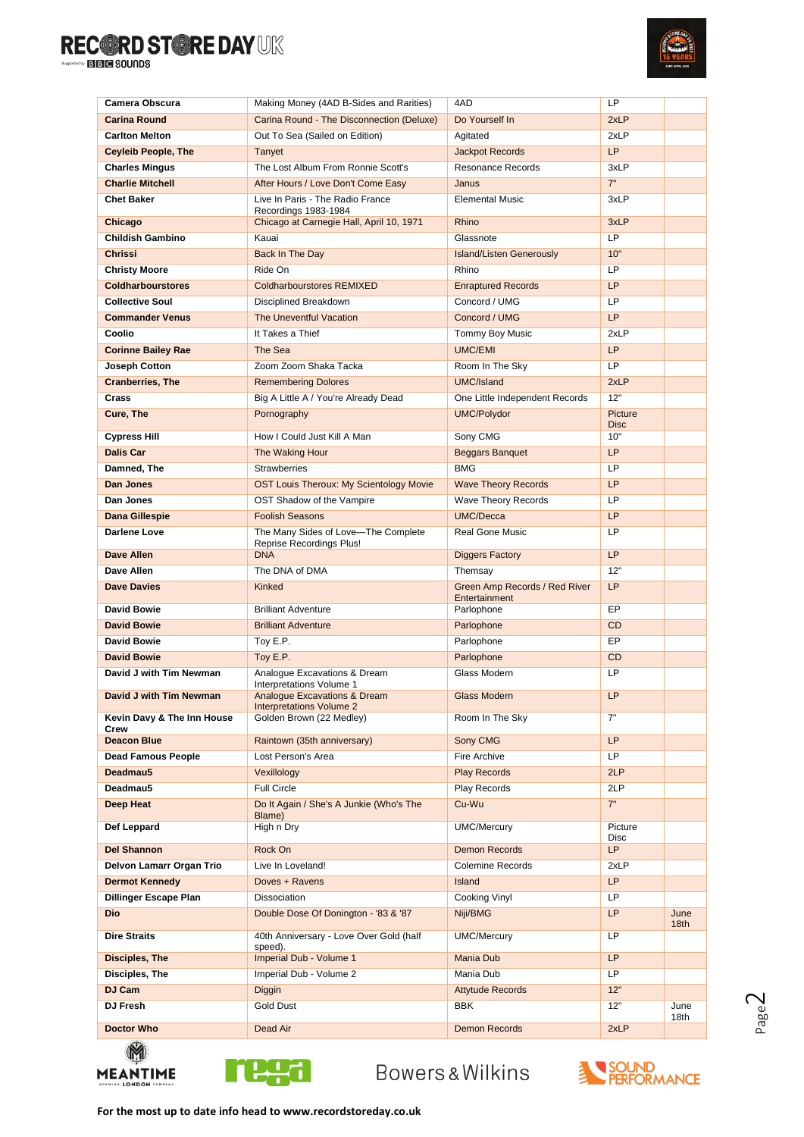

| Camera Obscura                     | Making Money (4AD B-Sides and Rarities)                                    | 4AD                                            | LP                 |              |
|------------------------------------|----------------------------------------------------------------------------|------------------------------------------------|--------------------|--------------|
| <b>Carina Round</b>                | Carina Round - The Disconnection (Deluxe)                                  | Do Yourself In                                 | 2xLP               |              |
| <b>Carlton Melton</b>              | Out To Sea (Sailed on Edition)                                             | Agitated                                       | 2xLP               |              |
| <b>Ceyleib People, The</b>         | Tanyet                                                                     | <b>Jackpot Records</b>                         | LP                 |              |
| <b>Charles Mingus</b>              | The Lost Album From Ronnie Scott's                                         | <b>Resonance Records</b>                       | 3xLP               |              |
| <b>Charlie Mitchell</b>            | After Hours / Love Don't Come Easy                                         | Janus                                          | 7"                 |              |
| Chet Baker                         | Live In Paris - The Radio France<br>Recordings 1983-1984                   | <b>Elemental Music</b>                         | 3xLP               |              |
| Chicago                            | Chicago at Carnegie Hall, April 10, 1971                                   | Rhino                                          | 3xLP               |              |
| <b>Childish Gambino</b>            | Kauai                                                                      | Glassnote                                      | LP                 |              |
| <b>Chrissi</b>                     | Back In The Day                                                            | <b>Island/Listen Generously</b>                | 10"                |              |
| <b>Christy Moore</b>               | Ride On                                                                    | Rhino                                          | LP                 |              |
| <b>Coldharbourstores</b>           | <b>Coldharbourstores REMIXED</b>                                           | <b>Enraptured Records</b>                      | <b>LP</b>          |              |
| <b>Collective Soul</b>             | Disciplined Breakdown                                                      | Concord / UMG                                  | LP                 |              |
|                                    |                                                                            | Concord / UMG                                  | LP                 |              |
| <b>Commander Venus</b>             | The Uneventful Vacation                                                    |                                                |                    |              |
| Coolio                             | It Takes a Thief                                                           | Tommy Boy Music                                | 2xLP               |              |
| <b>Corinne Bailey Rae</b>          | The Sea                                                                    | <b>UMC/EMI</b>                                 | LP                 |              |
| Joseph Cotton                      | Zoom Zoom Shaka Tacka                                                      | Room In The Sky                                | LP                 |              |
| <b>Cranberries, The</b>            | <b>Remembering Dolores</b>                                                 | UMC/Island                                     | 2xLP               |              |
| Crass                              | Big A Little A / You're Already Dead                                       | One Little Independent Records                 | 12"                |              |
| Cure, The                          | Pornography                                                                | <b>UMC/Polydor</b>                             | Picture            |              |
| Cypress Hill                       | How I Could Just Kill A Man                                                | Sony CMG                                       | <b>Disc</b><br>10" |              |
| <b>Dalis Car</b>                   | The Waking Hour                                                            | <b>Beggars Banquet</b>                         | <b>LP</b>          |              |
| Damned, The                        | <b>Strawberries</b>                                                        | <b>BMG</b>                                     | LP                 |              |
|                                    |                                                                            |                                                |                    |              |
| <b>Dan Jones</b>                   | <b>OST Louis Theroux: My Scientology Movie</b>                             | <b>Wave Theory Records</b>                     | <b>LP</b>          |              |
| Dan Jones                          | OST Shadow of the Vampire                                                  | Wave Theory Records                            | LP                 |              |
| Dana Gillespie                     | <b>Foolish Seasons</b>                                                     | <b>UMC/Decca</b>                               | <b>LP</b>          |              |
| Darlene Love                       | The Many Sides of Love-The Complete<br>Reprise Recordings Plus!            | <b>Real Gone Music</b>                         | LP                 |              |
| Dave Allen                         | <b>DNA</b>                                                                 | <b>Diggers Factory</b>                         | LP                 |              |
| Dave Allen                         | The DNA of DMA                                                             | Themsay                                        | 12"                |              |
| <b>Dave Davies</b>                 | Kinked                                                                     | Green Amp Records / Red River<br>Entertainment | <b>LP</b>          |              |
| <b>David Bowie</b>                 | <b>Brilliant Adventure</b>                                                 | Parlophone                                     | EP                 |              |
| <b>David Bowie</b>                 | <b>Brilliant Adventure</b>                                                 | Parlophone                                     | <b>CD</b>          |              |
| <b>David Bowie</b>                 | Toy E.P.                                                                   | Parlophone                                     | EP                 |              |
| <b>David Bowie</b>                 | Toy E.P.                                                                   | Parlophone                                     | <b>CD</b>          |              |
| David J with Tim Newman            | Analogue Excavations & Dream<br>Interpretations Volume 1                   | Glass Modern                                   | LP                 |              |
| David J with Tim Newman            | <b>Analogue Excavations &amp; Dream</b><br><b>Interpretations Volume 2</b> | <b>Glass Modern</b>                            | <b>LP</b>          |              |
| Kevin Davy & The Inn House<br>Crew | Golden Brown (22 Medley)                                                   | Room In The Sky                                | 7"                 |              |
| <b>Deacon Blue</b>                 | Raintown (35th anniversary)                                                | Sony CMG                                       | LP                 |              |
| <b>Dead Famous People</b>          | Lost Person's Area                                                         | Fire Archive                                   | LP                 |              |
| Deadmau5                           | Vexillology                                                                | <b>Play Records</b>                            | 2LP                |              |
| Deadmau5                           | Full Circle                                                                | Play Records                                   | 2LP                |              |
| Deep Heat                          | Do It Again / She's A Junkie (Who's The<br>Blame)                          | Cu-Wu                                          | 7"                 |              |
| Def Leppard                        | High n Dry                                                                 | <b>UMC/Mercury</b>                             | Picture<br>Disc    |              |
| <b>Del Shannon</b>                 | Rock On                                                                    | <b>Demon Records</b>                           | LP                 |              |
| Delvon Lamarr Organ Trio           | Live In Loveland!                                                          | Colemine Records                               | 2xLP               |              |
| <b>Dermot Kennedy</b>              | Doves + Ravens                                                             | Island                                         | <b>LP</b>          |              |
| <b>Dillinger Escape Plan</b>       | <b>Dissociation</b>                                                        | Cooking Vinyl                                  | <b>LP</b>          |              |
| <b>Dio</b>                         | Double Dose Of Donington - '83 & '87                                       | Niji/BMG                                       | <b>LP</b>          | June<br>18th |
| <b>Dire Straits</b>                | 40th Anniversary - Love Over Gold (half<br>speed).                         | <b>UMC/Mercury</b>                             | LP                 |              |
| Disciples, The                     | Imperial Dub - Volume 1                                                    | <b>Mania Dub</b>                               | <b>LP</b>          |              |
| Disciples, The                     | Imperial Dub - Volume 2                                                    | Mania Dub                                      | LP                 |              |
| DJ Cam                             | Diggin                                                                     | <b>Attytude Records</b>                        | 12"                |              |
| DJ Fresh                           | <b>Gold Dust</b>                                                           | <b>BBK</b>                                     | 12"                | June<br>18th |
| <b>Doctor Who</b>                  | Dead Air                                                                   | <b>Demon Records</b>                           | 2xLP               |              |
| M                                  |                                                                            |                                                |                    |              |



<u>reșa</u>

**MEANTIME** 

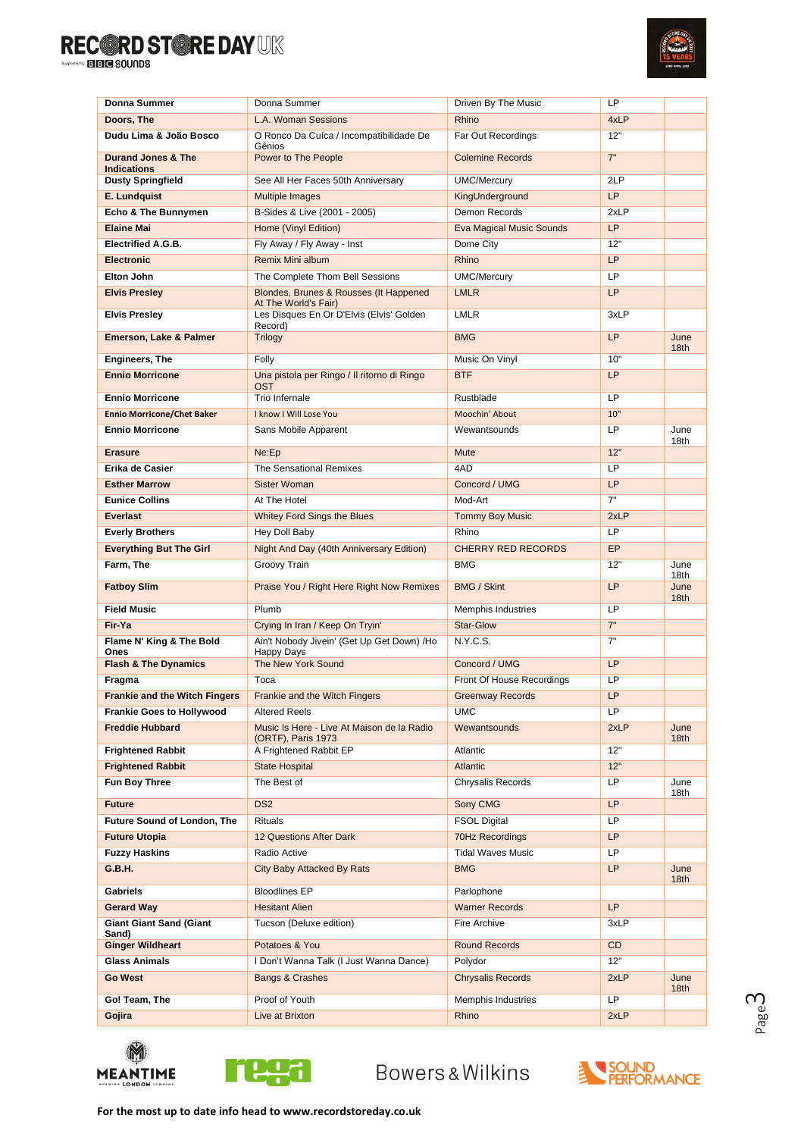

| Donna Summer                                        | Donna Summer                                                     | Driven By The Music             | LP         |                          |
|-----------------------------------------------------|------------------------------------------------------------------|---------------------------------|------------|--------------------------|
| Doors. The                                          | L.A. Woman Sessions                                              | Rhino                           | 4xLP       |                          |
| Dudu Lima & João Bosco                              | O Ronco Da Cuíca / Incompatibilidade De<br>Gênios                | Far Out Recordings              | 12"        |                          |
| <b>Durand Jones &amp; The</b><br><b>Indications</b> | Power to The People                                              | <b>Colemine Records</b>         | 7"         |                          |
| <b>Dusty Springfield</b>                            | See All Her Faces 50th Anniversary                               | <b>UMC/Mercury</b>              | 2LP        |                          |
| E. Lundquist                                        | <b>Multiple Images</b>                                           | KingUnderground                 | LP         |                          |
| Echo & The Bunnymen                                 | B-Sides & Live (2001 - 2005)                                     | Demon Records                   | 2xLP       |                          |
| <b>Elaine Mai</b>                                   | Home (Vinyl Edition)                                             | <b>Eva Magical Music Sounds</b> | LP         |                          |
| <b>Electrified A.G.B.</b>                           | Fly Away / Fly Away - Inst                                       | Dome City                       | 12"        |                          |
| <b>Electronic</b>                                   | <b>Remix Mini album</b>                                          | Rhino                           | LP         |                          |
| Elton John                                          | The Complete Thom Bell Sessions                                  | UMC/Mercury                     | LP         |                          |
| <b>Elvis Presley</b>                                | Blondes, Brunes & Rousses (It Happened<br>At The World's Fair)   | <b>LMLR</b>                     | LP         |                          |
| <b>Elvis Presley</b>                                | Les Disques En Or D'Elvis (Elvis' Golden<br>Record)              | <b>LMLR</b>                     | 3xLP       |                          |
| Emerson, Lake & Palmer                              | <b>Trilogy</b>                                                   | <b>BMG</b>                      | <b>LP</b>  | June<br>18 <sub>th</sub> |
| <b>Engineers, The</b>                               | Folly                                                            | Music On Vinyl                  | 10"        |                          |
| <b>Ennio Morricone</b>                              | Una pistola per Ringo / Il ritorno di Ringo<br><b>OST</b>        | <b>BTF</b>                      | <b>LP</b>  |                          |
| <b>Ennio Morricone</b>                              | Trio Infernale                                                   | Rustblade                       | LP         |                          |
| <b>Ennio Morricone/Chet Baker</b>                   | I know I Will Lose You                                           | Moochin' About                  | 10"        |                          |
| <b>Ennio Morricone</b>                              | Sans Mobile Apparent                                             | Wewantsounds                    | LP.        | June<br>18th             |
| <b>Erasure</b>                                      | Ne:Ep                                                            | <b>Mute</b>                     | 12"        |                          |
| Erika de Casier                                     | The Sensational Remixes                                          | 4AD                             | LP         |                          |
| <b>Esther Marrow</b>                                | <b>Sister Woman</b>                                              | Concord / UMG                   | <b>LP</b>  |                          |
| <b>Eunice Collins</b>                               | At The Hotel                                                     | Mod-Art                         | 7"         |                          |
| <b>Everlast</b>                                     | <b>Whitey Ford Sings the Blues</b>                               | <b>Tommy Boy Music</b>          | 2xLP       |                          |
| <b>Everly Brothers</b>                              | Hey Doll Baby                                                    | Rhino                           | LP         |                          |
| <b>Everything But The Girl</b>                      | Night And Day (40th Anniversary Edition)                         | <b>CHERRY RED RECORDS</b>       | <b>EP</b>  |                          |
| Farm, The                                           | Groovy Train                                                     | <b>BMG</b>                      | 12"        | June<br>18th             |
| <b>Fatboy Slim</b>                                  | Praise You / Right Here Right Now Remixes                        | <b>BMG / Skint</b>              | LP         | June<br>18th             |
| <b>Field Music</b>                                  | Plumb                                                            | Memphis Industries              | LP         |                          |
| Fir-Ya                                              | Crying In Iran / Keep On Tryin'                                  | Star-Glow                       | 7"         |                          |
| Flame N' King & The Bold<br>Ones                    | Ain't Nobody Jivein' (Get Up Get Down) /Ho<br>Happy Days         | N.Y.C.S.                        | 7"         |                          |
| <b>Flash &amp; The Dynamics</b>                     | The New York Sound                                               | Concord / UMG                   | LP         |                          |
| Fragma                                              | Toca                                                             | Front Of House Recordings       | LP         |                          |
| <b>Frankie and the Witch Fingers</b>                | <b>Frankie and the Witch Fingers</b>                             | <b>Greenway Records</b>         | <b>LP</b>  |                          |
| <b>Frankie Goes to Hollywood</b>                    | <b>Altered Reels</b>                                             | <b>UMC</b>                      | LP         |                          |
| <b>Freddie Hubbard</b>                              | Music Is Here - Live At Maison de la Radio<br>(ORTF), Paris 1973 | Wewantsounds                    | 2xLP       | June<br>18 <sub>th</sub> |
| <b>Frightened Rabbit</b>                            | A Frightened Rabbit EP                                           | Atlantic                        | 12"        |                          |
| <b>Frightened Rabbit</b>                            | <b>State Hospital</b>                                            | Atlantic                        | 12"        |                          |
| Fun Boy Three                                       | The Best of                                                      | Chrysalis Records               | LP.        | June<br>18th             |
| <b>Future</b>                                       | DS <sub>2</sub>                                                  | Sony CMG                        | LP         |                          |
| Future Sound of London, The                         | Rituals                                                          | <b>FSOL Digital</b>             | LP         |                          |
| <b>Future Utopia</b>                                | 12 Questions After Dark                                          | 70Hz Recordings                 | LP         |                          |
| <b>Fuzzy Haskins</b>                                | Radio Active                                                     | <b>Tidal Waves Music</b>        | LP.        |                          |
| G.B.H.                                              | City Baby Attacked By Rats                                       | <b>BMG</b>                      | LP.        | June<br>18 <sub>th</sub> |
| <b>Gabriels</b>                                     | <b>Bloodlines EP</b>                                             | Parlophone                      |            |                          |
| <b>Gerard Way</b>                                   | <b>Hesitant Alien</b>                                            | <b>Warner Records</b>           | LP         |                          |
| <b>Giant Giant Sand (Giant</b><br>Sand)             | Tucson (Deluxe edition)                                          | Fire Archive                    | 3xLP       |                          |
| <b>Ginger Wildheart</b>                             | Potatoes & You                                                   | <b>Round Records</b>            | CD         |                          |
| <b>Glass Animals</b>                                | I Don't Wanna Talk (I Just Wanna Dance)                          | Polydor                         | 12"        |                          |
| <b>Go West</b>                                      | Bangs & Crashes<br>Proof of Youth                                | <b>Chrysalis Records</b>        | 2xLP<br>LP | June<br>18 <sub>th</sub> |
| Go! Team, The                                       |                                                                  | Memphis Industries              |            |                          |
| Gojira                                              | Live at Brixton                                                  | Rhino                           | 2xLP       |                          |





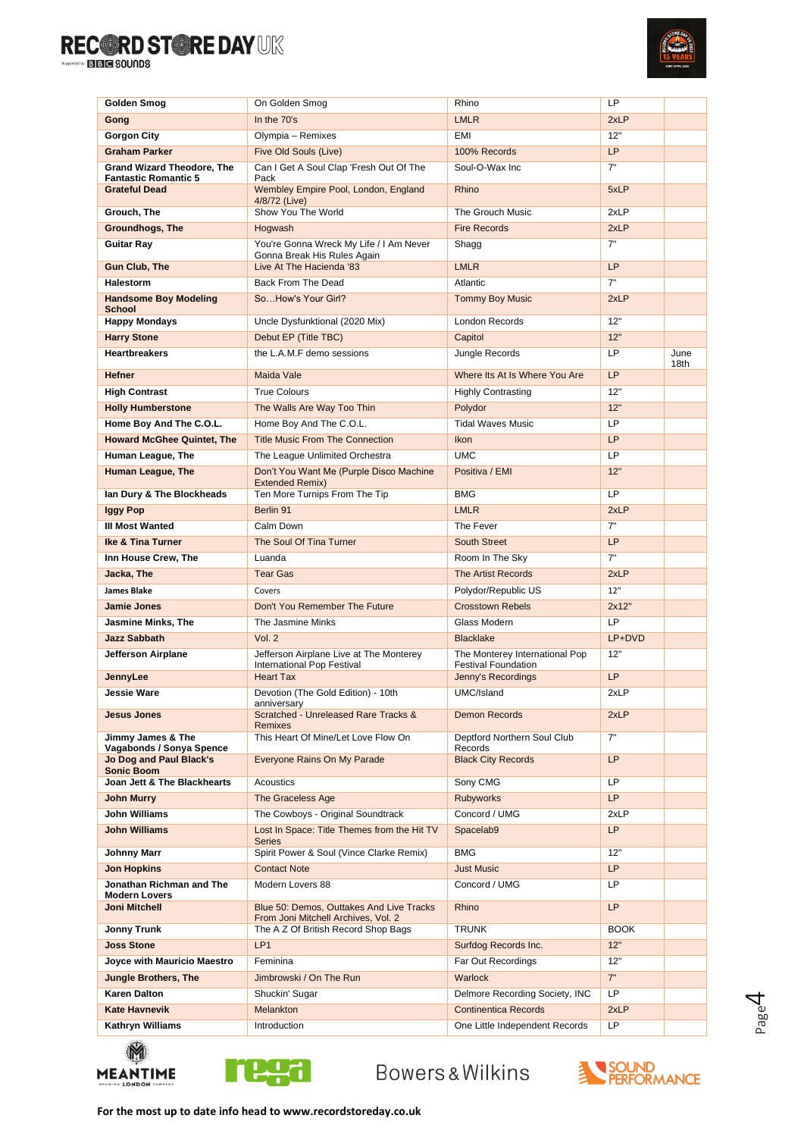

| Golden Smog                                         | On Golden Smog                                                        | Rhino                                                        | LP          |      |
|-----------------------------------------------------|-----------------------------------------------------------------------|--------------------------------------------------------------|-------------|------|
| Gong                                                | In the 70's                                                           | <b>LMLR</b>                                                  | 2xLP        |      |
| <b>Gorgon City</b>                                  | Olympia - Remixes                                                     | <b>EMI</b>                                                   | 12"         |      |
| <b>Graham Parker</b>                                | Five Old Souls (Live)                                                 | 100% Records                                                 | LP          |      |
| <b>Grand Wizard Theodore, The</b>                   | Can I Get A Soul Clap 'Fresh Out Of The                               | Soul-O-Wax Inc                                               | 7"          |      |
| <b>Fantastic Romantic 5</b>                         | Pack                                                                  | Rhino                                                        |             |      |
| <b>Grateful Dead</b>                                | Wembley Empire Pool, London, England<br>4/8/72 (Live)                 |                                                              | 5xLP        |      |
| Grouch, The                                         | Show You The World                                                    | The Grouch Music                                             | 2xLP        |      |
| Groundhogs, The                                     | Hogwash                                                               | <b>Fire Records</b>                                          | 2xLP        |      |
| <b>Guitar Rav</b>                                   | You're Gonna Wreck My Life / I Am Never                               | Shagg                                                        | 7"          |      |
| <b>Gun Club, The</b>                                | Gonna Break His Rules Again<br>Live At The Hacienda '83               | <b>LMLR</b>                                                  | <b>LP</b>   |      |
| <b>Halestorm</b>                                    | Back From The Dead                                                    | Atlantic                                                     | 7"          |      |
| <b>Handsome Boy Modeling</b>                        | SoHow's Your Girl?                                                    | <b>Tommy Boy Music</b>                                       | 2xLP        |      |
| <b>School</b>                                       |                                                                       |                                                              |             |      |
| <b>Happy Mondays</b>                                | Uncle Dysfunktional (2020 Mix)                                        | <b>London Records</b>                                        | 12"         |      |
| <b>Harry Stone</b>                                  | Debut EP (Title TBC)                                                  | Capitol                                                      | 12"         |      |
| <b>Heartbreakers</b>                                | the L.A.M.F demo sessions                                             | Jungle Records                                               | <b>LP</b>   | June |
| <b>Hefner</b>                                       | Maida Vale                                                            | Where Its At Is Where You Are                                | <b>LP</b>   | 18th |
| <b>High Contrast</b>                                | <b>True Colours</b>                                                   | <b>Highly Contrasting</b>                                    | 12"         |      |
| <b>Holly Humberstone</b>                            | The Walls Are Way Too Thin                                            | Polydor                                                      | 12"         |      |
| Home Boy And The C.O.L.                             | Home Boy And The C.O.L.                                               | <b>Tidal Waves Music</b>                                     | <b>LP</b>   |      |
| <b>Howard McGhee Quintet, The</b>                   | <b>Title Music From The Connection</b>                                | <b>Ikon</b>                                                  | <b>LP</b>   |      |
| Human League, The                                   | The League Unlimited Orchestra                                        | <b>UMC</b>                                                   | LP          |      |
| <b>Human League, The</b>                            | Don't You Want Me (Purple Disco Machine                               | Positiva / EMI                                               | 12"         |      |
|                                                     | <b>Extended Remix)</b>                                                |                                                              |             |      |
| lan Dury & The Blockheads                           | Ten More Turnips From The Tip                                         | <b>BMG</b>                                                   | <b>LP</b>   |      |
| <b>Iggy Pop</b>                                     | Berlin 91                                                             | <b>LMLR</b>                                                  | 2xLP        |      |
| <b>III Most Wanted</b>                              | Calm Down                                                             | The Fever                                                    | 7"          |      |
| <b>Ike &amp; Tina Turner</b>                        | The Soul Of Tina Turner                                               | South Street                                                 | <b>LP</b>   |      |
| Inn House Crew, The                                 | Luanda                                                                | Room In The Sky                                              | 7"          |      |
| Jacka, The                                          | <b>Tear Gas</b>                                                       | <b>The Artist Records</b>                                    | 2xLP        |      |
| <b>James Blake</b>                                  | Covers                                                                | Polydor/Republic US                                          | 12"         |      |
| <b>Jamie Jones</b>                                  | Don't You Remember The Future                                         | <b>Crosstown Rebels</b>                                      | 2x12"       |      |
| <b>Jasmine Minks, The</b>                           | The Jasmine Minks                                                     | Glass Modern                                                 | LP          |      |
| <b>Jazz Sabbath</b>                                 | Vol. 2                                                                | <b>Blacklake</b>                                             | LP+DVD      |      |
| Jefferson Airplane                                  | Jefferson Airplane Live at The Monterey<br>International Pop Festival | The Monterey International Pop<br><b>Festival Foundation</b> | 12"         |      |
| JennyLee                                            | <b>Heart Tax</b>                                                      | Jenny's Recordings                                           | <b>LP</b>   |      |
| <b>Jessie Ware</b>                                  | Devotion (The Gold Edition) - 10th                                    | UMC/Island                                                   | 2xLP        |      |
| <b>Jesus Jones</b>                                  | anniversary<br>Scratched - Unreleased Rare Tracks &                   | <b>Demon Records</b>                                         | 2xLP        |      |
|                                                     | <b>Remixes</b>                                                        |                                                              |             |      |
| Jimmy James & The                                   | This Heart Of Mine/Let Love Flow On                                   | Deptford Northern Soul Club                                  | 7"          |      |
| Vagabonds / Sonya Spence<br>Jo Dog and Paul Black's | Everyone Rains On My Parade                                           | Records<br><b>Black City Records</b>                         | <b>LP</b>   |      |
| <b>Sonic Boom</b>                                   |                                                                       |                                                              |             |      |
| Joan Jett & The Blackhearts                         | Acoustics                                                             | Sony CMG                                                     | LP.         |      |
| <b>John Murry</b>                                   | The Graceless Age                                                     | <b>Rubyworks</b>                                             | LP          |      |
| <b>John Williams</b>                                | The Cowboys - Original Soundtrack                                     | Concord / UMG                                                | 2xLP        |      |
| <b>John Williams</b>                                | Lost In Space: Title Themes from the Hit TV<br><b>Series</b>          | Spacelab9                                                    | <b>LP</b>   |      |
| <b>Johnny Marr</b>                                  | Spirit Power & Soul (Vince Clarke Remix)                              | <b>BMG</b>                                                   | 12"         |      |
| <b>Jon Hopkins</b>                                  | <b>Contact Note</b>                                                   | <b>Just Music</b>                                            | LP          |      |
| Jonathan Richman and The                            | Modern Lovers 88                                                      | Concord / UMG                                                | LP          |      |
| <b>Modern Lovers</b><br><b>Joni Mitchell</b>        | Blue 50: Demos, Outtakes And Live Tracks                              | Rhino                                                        | <b>LP</b>   |      |
|                                                     | From Joni Mitchell Archives, Vol. 2                                   |                                                              |             |      |
| Jonny Trunk                                         | The A Z Of British Record Shop Bags                                   | <b>TRUNK</b>                                                 | <b>BOOK</b> |      |
| <b>Joss Stone</b>                                   | LP <sub>1</sub>                                                       | Surfdog Records Inc.                                         | 12"         |      |
| Joyce with Mauricio Maestro                         | Feminina                                                              | Far Out Recordings                                           | 12"         |      |
| <b>Jungle Brothers, The</b>                         | Jimbrowski / On The Run                                               | <b>Warlock</b>                                               | 7"          |      |
| <b>Karen Dalton</b>                                 | Shuckin' Sugar                                                        | Delmore Recording Society, INC                               | LP.         |      |
| <b>Kate Havnevik</b>                                | Melankton                                                             | <b>Continentica Records</b>                                  | 2xLP        |      |
| Kathryn Williams                                    | Introduction                                                          | One Little Independent Records                               | LP          |      |
|                                                     |                                                                       |                                                              |             |      |





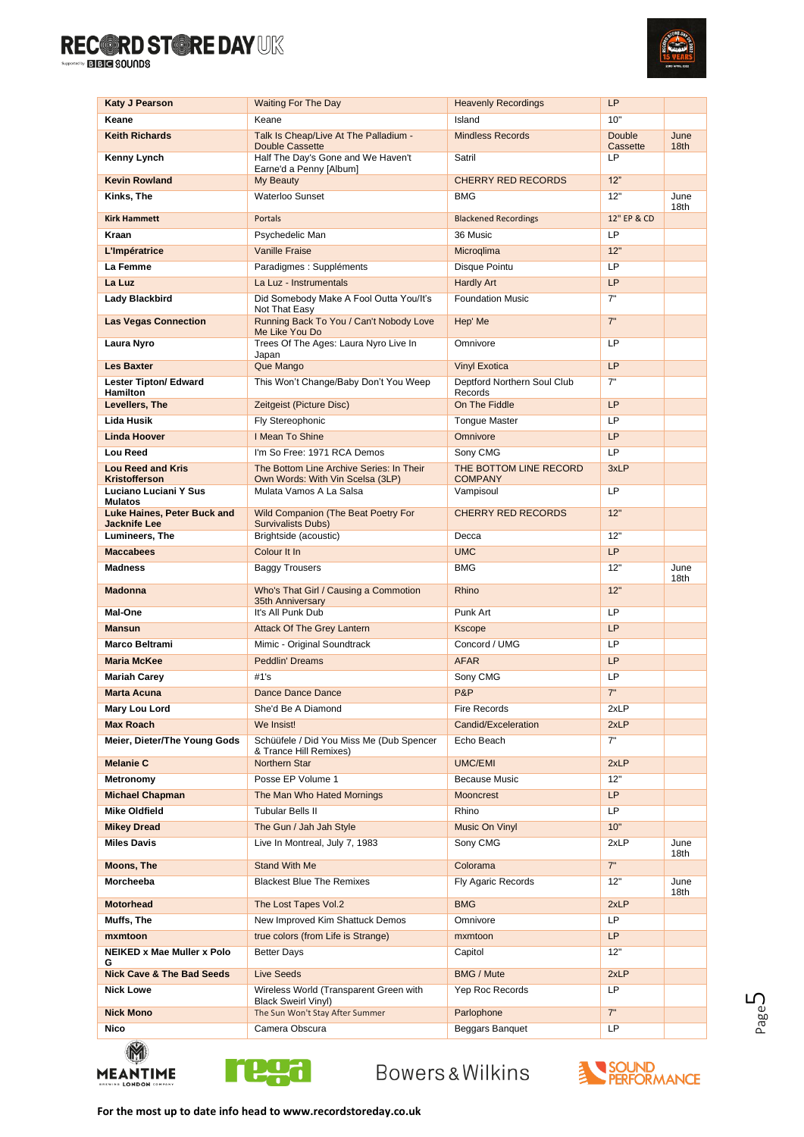

| <b>Katy J Pearson</b>                                                | <b>Waiting For The Day</b>                                                   | <b>Heavenly Recordings</b>               | LP                        |                          |
|----------------------------------------------------------------------|------------------------------------------------------------------------------|------------------------------------------|---------------------------|--------------------------|
| Keane                                                                | Keane                                                                        | Island                                   | 10"                       |                          |
| <b>Keith Richards</b>                                                | Talk Is Cheap/Live At The Palladium -<br>Double Cassette                     | <b>Mindless Records</b>                  | <b>Double</b><br>Cassette | June<br>18 <sub>th</sub> |
| Kenny Lynch                                                          | Half The Day's Gone and We Haven't<br>Earne'd a Penny [Album]                | Satril                                   | LP.                       |                          |
| <b>Kevin Rowland</b>                                                 | My Beauty                                                                    | <b>CHERRY RED RECORDS</b>                | 12"                       |                          |
| Kinks, The                                                           | Waterloo Sunset                                                              | <b>BMG</b>                               | 12"                       | June<br>18th             |
| <b>Kirk Hammett</b>                                                  | <b>Portals</b>                                                               | <b>Blackened Recordings</b>              | 12" EP & CD               |                          |
| Kraan                                                                | Psychedelic Man                                                              | 36 Music                                 | LP                        |                          |
| L'Impératrice                                                        | <b>Vanille Fraise</b>                                                        | Microglima                               | 12"                       |                          |
| La Femme                                                             | Paradigmes : Suppléments                                                     | Disque Pointu                            | <b>LP</b>                 |                          |
| La Luz                                                               | La Luz - Instrumentals                                                       | <b>Hardly Art</b>                        | <b>LP</b>                 |                          |
| <b>Lady Blackbird</b>                                                | Did Somebody Make A Fool Outta You/It's<br>Not That Easy                     | <b>Foundation Music</b>                  | 7"                        |                          |
| <b>Las Vegas Connection</b>                                          | Running Back To You / Can't Nobody Love<br>Me Like You Do                    | Hep' Me                                  | 7"                        |                          |
| Laura Nyro                                                           | Trees Of The Ages: Laura Nyro Live In<br>Japan                               | Omnivore                                 | LP                        |                          |
| <b>Les Baxter</b>                                                    | Que Mango                                                                    | <b>Vinyl Exotica</b>                     | <b>LP</b>                 |                          |
| <b>Lester Tipton/ Edward</b><br>Hamilton                             | This Won't Change/Baby Don't You Weep                                        | Deptford Northern Soul Club<br>Records   | 7"                        |                          |
| Levellers, The                                                       | Zeitgeist (Picture Disc)                                                     | On The Fiddle                            | <b>LP</b>                 |                          |
| <b>Lida Husik</b>                                                    | Fly Stereophonic                                                             | <b>Tongue Master</b>                     | <b>LP</b>                 |                          |
| <b>Linda Hoover</b>                                                  | I Mean To Shine                                                              | Omnivore                                 | <b>LP</b>                 |                          |
| Lou Reed                                                             | I'm So Free: 1971 RCA Demos                                                  | Sony CMG                                 | LP                        |                          |
| <b>Lou Reed and Kris</b><br>Kristofferson                            | The Bottom Line Archive Series: In Their<br>Own Words: With Vin Scelsa (3LP) | THE BOTTOM LINE RECORD<br><b>COMPANY</b> | 3xLP                      |                          |
| Luciano Luciani Y Sus<br><b>Mulatos</b>                              | Mulata Vamos A La Salsa                                                      | Vampisoul                                | <b>LP</b>                 |                          |
| Luke Haines, Peter Buck and<br><b>Jacknife Lee</b><br>Lumineers, The | Wild Companion (The Beat Poetry For<br><b>Survivalists Dubs)</b>             | <b>CHERRY RED RECORDS</b><br>Decca       | 12"<br>12"                |                          |
|                                                                      | Brightside (acoustic)                                                        |                                          |                           |                          |
| <b>Maccabees</b>                                                     | Colour It In                                                                 | <b>UMC</b>                               | LP                        |                          |
| <b>Madness</b>                                                       | <b>Baggy Trousers</b>                                                        | <b>BMG</b>                               | 12"                       | June<br>18th             |
| <b>Madonna</b>                                                       | Who's That Girl / Causing a Commotion<br>35th Anniversary                    | Rhino                                    | 12"                       |                          |
| Mal-One                                                              | It's All Punk Dub                                                            | Punk Art                                 | LP                        |                          |
| <b>Mansun</b>                                                        | <b>Attack Of The Grey Lantern</b>                                            | <b>Kscope</b>                            | <b>LP</b>                 |                          |
| Marco Beltrami                                                       | Mimic - Original Soundtrack                                                  | Concord / UMG                            | LP.                       |                          |
| <b>Maria McKee</b>                                                   | Peddlin' Dreams                                                              | <b>AFAR</b>                              | LP                        |                          |
| <b>Mariah Carey</b>                                                  | #1's                                                                         | Sony CMG                                 | LP                        |                          |
| <b>Marta Acuna</b>                                                   | Dance Dance Dance                                                            | P&P                                      | 7"                        |                          |
| Mary Lou Lord                                                        | She'd Be A Diamond                                                           | Fire Records                             | 2xLP                      |                          |
| <b>Max Roach</b>                                                     | We Insist!                                                                   | Candid/Exceleration                      | 2xLP                      |                          |
| Meier, Dieter/The Young Gods                                         | Schüüfele / Did You Miss Me (Dub Spencer<br>& Trance Hill Remixes)           | Echo Beach                               | 7"                        |                          |
| <b>Melanie C</b>                                                     | Northern Star                                                                | <b>UMC/EMI</b>                           | 2xLP                      |                          |
| Metronomy                                                            | Posse EP Volume 1                                                            | <b>Because Music</b>                     | 12"                       |                          |
| <b>Michael Chapman</b>                                               | The Man Who Hated Mornings                                                   | <b>Mooncrest</b>                         | LP                        |                          |
| <b>Mike Oldfield</b>                                                 | <b>Tubular Bells II</b>                                                      | Rhino                                    | LP.                       |                          |
| <b>Mikey Dread</b>                                                   | The Gun / Jah Jah Style                                                      | Music On Vinyl                           | 10"                       |                          |
| <b>Miles Davis</b>                                                   | Live In Montreal, July 7, 1983                                               | Sony CMG                                 | 2xLP                      | June<br>18th             |
| Moons, The                                                           | <b>Stand With Me</b>                                                         | Colorama                                 | 7"                        |                          |
| Morcheeba                                                            | <b>Blackest Blue The Remixes</b>                                             | Fly Agaric Records                       | 12"                       | June<br>18th             |
| <b>Motorhead</b>                                                     | The Lost Tapes Vol.2                                                         | <b>BMG</b>                               | 2xLP                      |                          |
| Muffs, The                                                           | New Improved Kim Shattuck Demos                                              | Omnivore                                 | LP                        |                          |
| mxmtoon                                                              | true colors (from Life is Strange)                                           | mxmtoon                                  | LP                        |                          |
| NEIKED x Mae Muller x Polo<br>G                                      | <b>Better Days</b>                                                           | Capitol                                  | 12"                       |                          |
| <b>Nick Cave &amp; The Bad Seeds</b>                                 | <b>Live Seeds</b>                                                            | <b>BMG / Mute</b>                        | 2xLP                      |                          |
| <b>Nick Lowe</b>                                                     | Wireless World (Transparent Green with<br><b>Black Sweirl Vinyl)</b>         | Yep Roc Records                          | LP                        |                          |
| <b>Nick Mono</b>                                                     | The Sun Won't Stay After Summer                                              | Parlophone                               | 7"                        |                          |
| Nico                                                                 | Camera Obscura                                                               | Beggars Banquet                          | LP                        |                          |
|                                                                      |                                                                              |                                          |                           |                          |





Bowers&Wilkins



Page பி

**For the most up to date info head to www.recordstoreday.co.uk**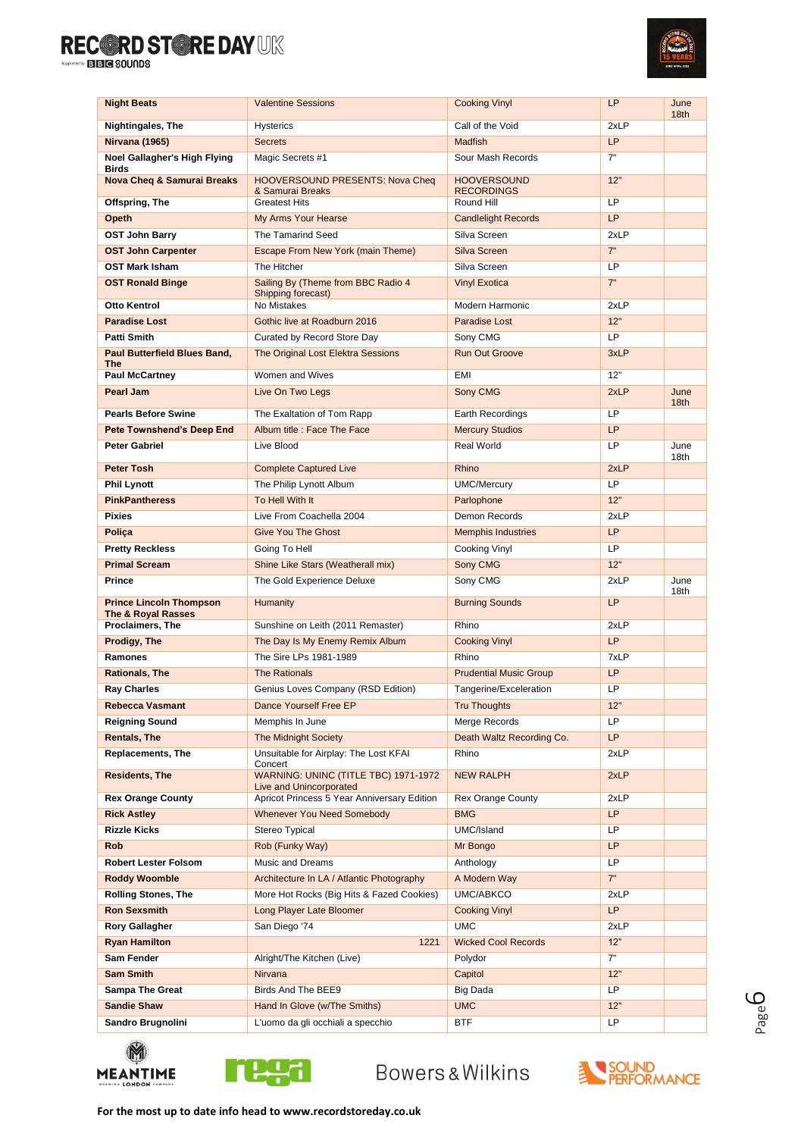

| <b>Night Beats</b>                                              | <b>Valentine Sessions</b>                                              | <b>Cooking Vinyl</b>          | LP                | June<br>18 <sub>th</sub> |
|-----------------------------------------------------------------|------------------------------------------------------------------------|-------------------------------|-------------------|--------------------------|
| Nightingales, The                                               | <b>Hysterics</b>                                                       | Call of the Void              | 2xLP              |                          |
| Nirvana (1965)                                                  | <b>Secrets</b>                                                         | <b>Madfish</b>                | LP                |                          |
| Noel Gallagher's High Flying                                    | Magic Secrets #1                                                       | Sour Mash Records             | 7"                |                          |
| <b>Birds</b><br><b>Nova Cheq &amp; Samurai Breaks</b>           | <b>HOOVERSOUND PRESENTS: Nova Cheq</b>                                 | <b>HOOVERSOUND</b>            | 12"               |                          |
|                                                                 | & Samurai Breaks                                                       | <b>RECORDINGS</b>             |                   |                          |
| Offspring, The                                                  | <b>Greatest Hits</b>                                                   | Round Hill                    | LP                |                          |
| Opeth                                                           | My Arms Your Hearse                                                    | <b>Candlelight Records</b>    | <b>LP</b>         |                          |
| <b>OST John Barry</b>                                           | The Tamarind Seed                                                      | Silva Screen                  | 2xLP              |                          |
| <b>OST John Carpenter</b>                                       | Escape From New York (main Theme)                                      | Silva Screen                  | 7"                |                          |
| <b>OST Mark Isham</b>                                           | The Hitcher                                                            | Silva Screen                  | LP                |                          |
| <b>OST Ronald Binge</b>                                         | Sailing By (Theme from BBC Radio 4<br>Shipping forecast)               | <b>Vinyl Exotica</b>          | 7"                |                          |
| Otto Kentrol                                                    | No Mistakes                                                            | Modern Harmonic               | 2xLP              |                          |
| <b>Paradise Lost</b>                                            | Gothic live at Roadburn 2016                                           | Paradise Lost                 | 12"               |                          |
| Patti Smith                                                     | Curated by Record Store Day                                            | Sony CMG                      | <b>LP</b>         |                          |
| <b>Paul Butterfield Blues Band,</b><br><b>The</b>               | The Original Lost Elektra Sessions                                     | <b>Run Out Groove</b>         | 3xLP              |                          |
| <b>Paul McCartney</b>                                           | Women and Wives                                                        | EMI                           | 12"               |                          |
| Pearl Jam                                                       | Live On Two Legs                                                       | Sony CMG                      | 2xLP              | June                     |
| <b>Pearls Before Swine</b>                                      | The Exaltation of Tom Rapp                                             | Earth Recordings              | LP                | 18th                     |
| Pete Townshend's Deep End                                       | Album title : Face The Face                                            | <b>Mercury Studios</b>        | <b>LP</b>         |                          |
| Peter Gabriel                                                   | Live Blood                                                             | Real World                    | <b>LP</b>         | June                     |
|                                                                 |                                                                        |                               |                   | 18th                     |
| Peter Tosh                                                      | <b>Complete Captured Live</b>                                          | Rhino                         | 2xLP              |                          |
| <b>Phil Lynott</b>                                              | The Philip Lynott Album                                                | <b>UMC/Mercury</b>            | <b>LP</b>         |                          |
| <b>PinkPantheress</b>                                           | To Hell With It                                                        | Parlophone                    | 12"               |                          |
| <b>Pixies</b>                                                   | Live From Coachella 2004<br><b>Give You The Ghost</b>                  | Demon Records                 | 2xLP<br><b>LP</b> |                          |
| Poliça                                                          |                                                                        | <b>Memphis Industries</b>     | LP                |                          |
| <b>Pretty Reckless</b><br><b>Primal Scream</b>                  | Going To Hell                                                          | Cooking Vinyl                 | 12"               |                          |
| Prince                                                          | Shine Like Stars (Weatherall mix)<br>The Gold Experience Deluxe        | Sony CMG<br>Sony CMG          | 2xLP              | June                     |
|                                                                 |                                                                        |                               |                   | 18th                     |
| <b>Prince Lincoln Thompson</b><br><b>The &amp; Royal Rasses</b> | <b>Humanity</b>                                                        | <b>Burning Sounds</b>         | LP                |                          |
| Proclaimers, The                                                | Sunshine on Leith (2011 Remaster)                                      | Rhino                         | 2xLP              |                          |
| Prodigy, The                                                    | The Day Is My Enemy Remix Album                                        | <b>Cooking Vinyl</b>          | <b>LP</b>         |                          |
| Ramones                                                         | The Sire LPs 1981-1989                                                 | Rhino                         | 7xLP              |                          |
| <b>Rationals, The</b>                                           | <b>The Rationals</b>                                                   | <b>Prudential Music Group</b> | LP                |                          |
| <b>Ray Charles</b>                                              | Genius Loves Company (RSD Edition)                                     | Tangerine/Exceleration        | LP                |                          |
| Rebecca Vasmant                                                 | Dance Yourself Free EP                                                 | <b>Tru Thoughts</b>           | 12"               |                          |
| Reigning Sound                                                  | Memphis In June                                                        | Merge Records                 | LP                |                          |
| Rentals, The                                                    | <b>The Midnight Society</b>                                            | Death Waltz Recording Co.     | LP                |                          |
| <b>Replacements, The</b>                                        | Unsuitable for Airplay: The Lost KFAI<br>Concert                       | Rhino                         | 2xLP              |                          |
| <b>Residents, The</b>                                           | WARNING: UNINC (TITLE TBC) 1971-1972<br><b>Live and Unincorporated</b> | <b>NEW RALPH</b>              | 2xLP              |                          |
| <b>Rex Orange County</b>                                        | Apricot Princess 5 Year Anniversary Edition                            | <b>Rex Orange County</b>      | 2xLP              |                          |
| <b>Rick Astley</b>                                              | <b>Whenever You Need Somebody</b>                                      | <b>BMG</b>                    | LP                |                          |
| Rizzle Kicks                                                    | Stereo Typical                                                         | UMC/Island                    | LP                |                          |
| <b>Rob</b>                                                      | Rob (Funky Way)                                                        | Mr Bongo                      | LP                |                          |
| <b>Robert Lester Folsom</b>                                     | <b>Music and Dreams</b>                                                | Anthology                     | LP                |                          |
| <b>Roddy Woomble</b>                                            | Architecture In LA / Atlantic Photography                              | A Modern Way                  | 7"                |                          |
| <b>Rolling Stones, The</b>                                      | More Hot Rocks (Big Hits & Fazed Cookies)                              | UMC/ABKCO                     | 2xLP              |                          |
| Ron Sexsmith                                                    | Long Player Late Bloomer                                               | <b>Cooking Vinyl</b>          | LP                |                          |
| <b>Rory Gallagher</b>                                           | San Diego '74                                                          | <b>UMC</b>                    | 2xLP              |                          |
| Ryan Hamilton                                                   | 1221                                                                   | <b>Wicked Cool Records</b>    | 12"               |                          |
| Sam Fender                                                      | Alright/The Kitchen (Live)                                             | Polydor                       | 7"                |                          |
| Sam Smith                                                       | Nirvana                                                                | Capitol                       | 12"               |                          |
| Sampa The Great                                                 | Birds And The BEE9                                                     | Big Dada                      | LP.               |                          |
| <b>Sandie Shaw</b>                                              | Hand In Glove (w/The Smiths)                                           | <b>UMC</b>                    | 12"               |                          |
| Sandro Brugnolini                                               | L'uomo da gli occhiali a specchio                                      | <b>BTF</b>                    | LP                |                          |



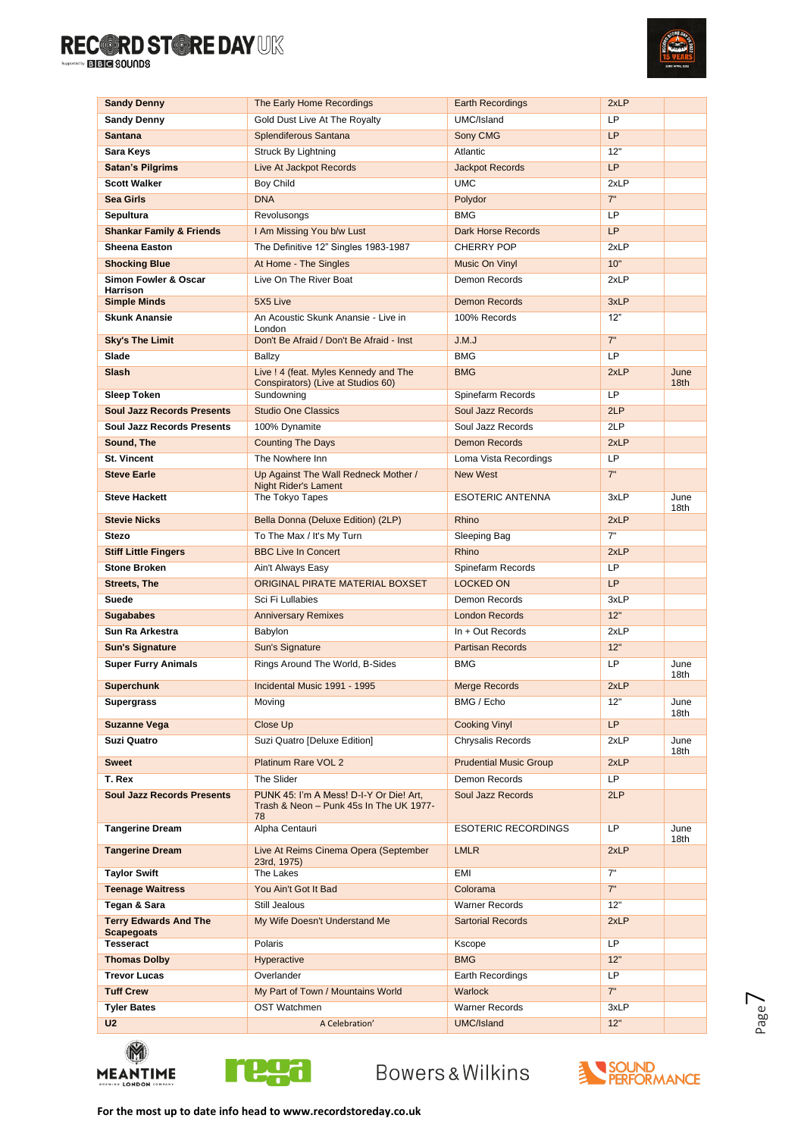

| <b>Sandy Denny</b>                                | The Early Home Recordings                                                          | <b>Earth Recordings</b>             | 2xLP        |                  |
|---------------------------------------------------|------------------------------------------------------------------------------------|-------------------------------------|-------------|------------------|
| <b>Sandy Denny</b>                                | Gold Dust Live At The Royalty                                                      | UMC/Island                          | LP          |                  |
| <b>Santana</b>                                    | Splendiferous Santana                                                              | Sony CMG                            | <b>LP</b>   |                  |
| Sara Keys                                         | Struck By Lightning                                                                | Atlantic                            | 12"         |                  |
| <b>Satan's Pilgrims</b>                           | Live At Jackpot Records                                                            | <b>Jackpot Records</b>              | <b>LP</b>   |                  |
| <b>Scott Walker</b>                               | Boy Child                                                                          | <b>UMC</b>                          | 2xLP        |                  |
| <b>Sea Girls</b>                                  | <b>DNA</b>                                                                         | Polydor                             | 7"          |                  |
| Sepultura                                         | Revolusongs                                                                        | <b>BMG</b>                          | LP          |                  |
| <b>Shankar Family &amp; Friends</b>               | I Am Missing You b/w Lust                                                          | <b>Dark Horse Records</b>           | <b>LP</b>   |                  |
| <b>Sheena Easton</b>                              | The Definitive 12" Singles 1983-1987                                               | <b>CHERRY POP</b>                   | 2xLP        |                  |
| <b>Shocking Blue</b>                              | At Home - The Singles                                                              | <b>Music On Vinvl</b>               | 10"         |                  |
| Simon Fowler & Oscar<br>Harrison                  | Live On The River Boat                                                             | Demon Records                       | 2xLP        |                  |
| <b>Simple Minds</b>                               | 5X5 Live                                                                           | <b>Demon Records</b>                | 3xLP        |                  |
| Skunk Anansie                                     | An Acoustic Skunk Anansie - Live in                                                | 100% Records                        | 12"         |                  |
|                                                   | London<br>Don't Be Afraid / Don't Be Afraid - Inst                                 | J.M.J                               | 7"          |                  |
| <b>Sky's The Limit</b><br>Slade                   |                                                                                    | <b>BMG</b>                          | LP          |                  |
| Slash                                             | Ballzy<br>Live ! 4 (feat. Myles Kennedy and The                                    | <b>BMG</b>                          | 2xLP        | June             |
|                                                   | Conspirators) (Live at Studios 60)                                                 |                                     |             | 18 <sub>th</sub> |
| <b>Sleep Token</b>                                | Sundowning                                                                         | Spinefarm Records                   | LP          |                  |
| <b>Soul Jazz Records Presents</b>                 | <b>Studio One Classics</b>                                                         | Soul Jazz Records                   | 2LP         |                  |
| Soul Jazz Records Presents                        | 100% Dynamite                                                                      | Soul Jazz Records                   | 2LP         |                  |
| Sound, The                                        | <b>Counting The Days</b>                                                           | <b>Demon Records</b>                | 2xLP        |                  |
| <b>St. Vincent</b>                                | The Nowhere Inn                                                                    | Loma Vista Recordings               | LP          |                  |
| <b>Steve Earle</b>                                | Up Against The Wall Redneck Mother /<br><b>Night Rider's Lament</b>                | <b>New West</b>                     | 7"          |                  |
| <b>Steve Hackett</b>                              | The Tokyo Tapes                                                                    | <b>ESOTERIC ANTENNA</b>             | 3xLP        | June<br>18th     |
| <b>Stevie Nicks</b>                               | Bella Donna (Deluxe Edition) (2LP)                                                 | Rhino                               | 2xLP        |                  |
| <b>Stezo</b>                                      | To The Max / It's My Turn                                                          | Sleeping Bag                        | 7"          |                  |
| <b>Stiff Little Fingers</b>                       | <b>BBC Live In Concert</b>                                                         | Rhino                               | 2xLP        |                  |
| <b>Stone Broken</b>                               | Ain't Always Easy                                                                  | Spinefarm Records                   | LP          |                  |
| <b>Streets, The</b>                               | ORIGINAL PIRATE MATERIAL BOXSET                                                    | <b>LOCKED ON</b>                    | <b>LP</b>   |                  |
| Suede                                             | Sci Fi Lullabies                                                                   | Demon Records                       | 3xLP        |                  |
|                                                   |                                                                                    |                                     |             |                  |
| <b>Sugababes</b>                                  | <b>Anniversary Remixes</b>                                                         | <b>London Records</b>               | 12"         |                  |
| Sun Ra Arkestra                                   | Babylon                                                                            | In + Out Records                    | 2xLP        |                  |
| <b>Sun's Signature</b>                            | Sun's Signature                                                                    | <b>Partisan Records</b>             | 12"         |                  |
| <b>Super Furry Animals</b>                        | Rings Around The World, B-Sides                                                    | <b>BMG</b>                          | LP          | June<br>18th     |
| <b>Superchunk</b>                                 | Incidental Music 1991 - 1995                                                       | <b>Merge Records</b>                | 2xLP        |                  |
| Supergrass                                        | Moving                                                                             | BMG / Echo                          | 12          | June<br>18th     |
| <b>Suzanne Vega</b>                               | Close Up                                                                           | <b>Cooking Vinyl</b>                | <b>LP</b>   |                  |
| Suzi Quatro                                       | Suzi Quatro [Deluxe Edition]                                                       | Chrysalis Records                   | 2xLP        | June<br>18th     |
| <b>Sweet</b>                                      | Platinum Rare VOL 2                                                                | <b>Prudential Music Group</b>       | 2xLP        |                  |
| T. Rex                                            | The Slider                                                                         | Demon Records                       | LP          |                  |
| <b>Soul Jazz Records Presents</b>                 | PUNK 45: I'm A Mess! D-I-Y Or Die! Art,<br>Trash & Neon - Punk 45s In The UK 1977- | Soul Jazz Records                   | 2LP         |                  |
| <b>Tangerine Dream</b>                            | 78<br>Alpha Centauri                                                               | <b>ESOTERIC RECORDINGS</b>          | LP          | June             |
| <b>Tangerine Dream</b>                            | Live At Reims Cinema Opera (September<br>23rd, 1975)                               | <b>LMLR</b>                         | 2xLP        | 18th             |
| <b>Taylor Swift</b>                               | The Lakes                                                                          | <b>EMI</b>                          | 7"          |                  |
| <b>Teenage Waitress</b>                           | You Ain't Got It Bad                                                               | Colorama                            | 7"          |                  |
| Tegan & Sara                                      | Still Jealous                                                                      | <b>Warner Records</b>               | 12"         |                  |
| <b>Terry Edwards And The</b><br><b>Scapegoats</b> | My Wife Doesn't Understand Me                                                      | <b>Sartorial Records</b>            | 2xLP        |                  |
| Tesseract                                         | Polaris                                                                            | Kscope                              | <b>LP</b>   |                  |
| <b>Thomas Dolby</b>                               | Hyperactive                                                                        | <b>BMG</b>                          | 12"         |                  |
| <b>Trevor Lucas</b>                               | Overlander                                                                         | Earth Recordings                    | LP          |                  |
| <b>Tuff Crew</b>                                  | My Part of Town / Mountains World                                                  | <b>Warlock</b>                      | 7"          |                  |
| <b>Tyler Bates</b><br>U2                          | OST Watchmen<br>A Celebration'                                                     | <b>Warner Records</b><br>UMC/Island | 3xLP<br>12" |                  |